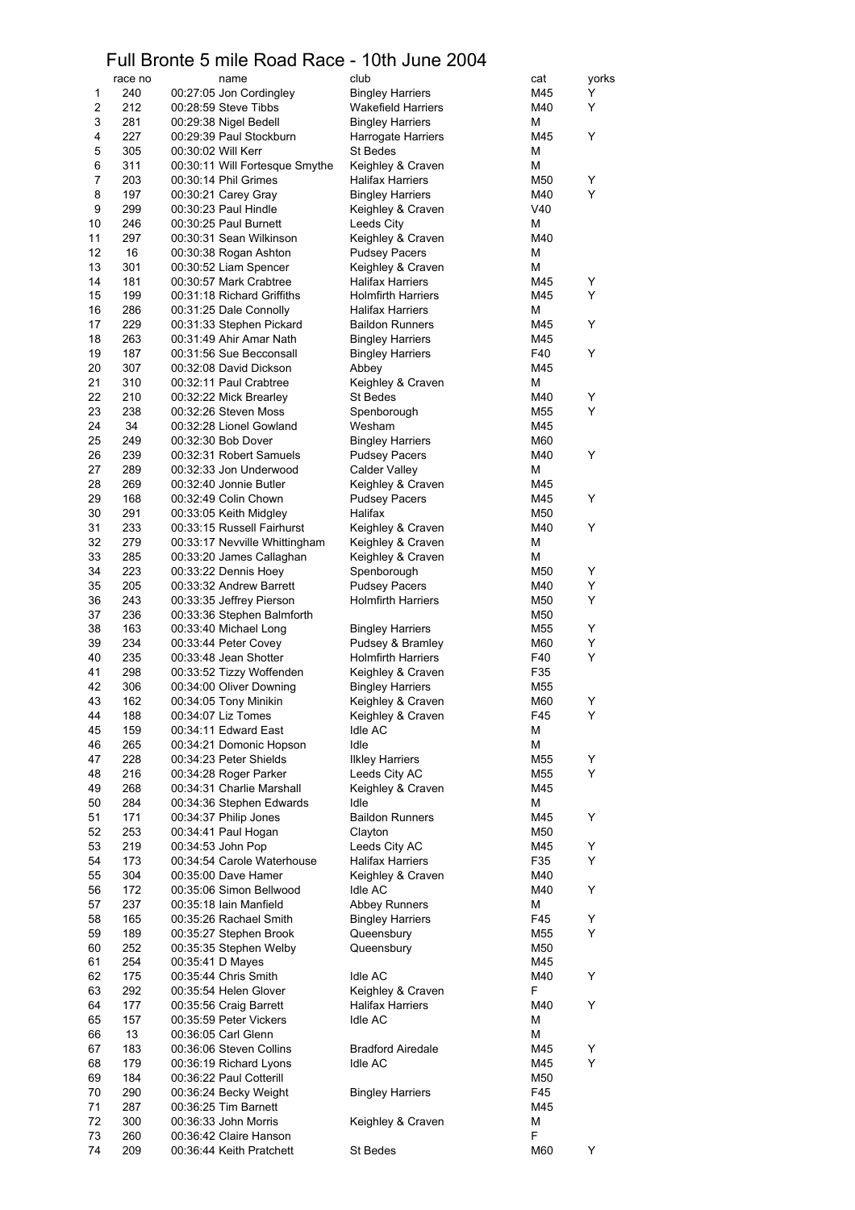## Full Bronte 5 mile Road Race - 10th June 2004

|                | race no    | name                                                        | club                                              | cat        | yorks  |
|----------------|------------|-------------------------------------------------------------|---------------------------------------------------|------------|--------|
| 1              | 240        | 00:27:05 Jon Cordingley                                     | <b>Bingley Harriers</b>                           | M45        | Y      |
| 2              | 212        | 00:28:59 Steve Tibbs                                        | <b>Wakefield Harriers</b>                         | M40        | Y      |
| 3              | 281        | 00:29:38 Nigel Bedell                                       | <b>Bingley Harriers</b>                           | Μ          |        |
| 4              | 227        | 00:29:39 Paul Stockburn                                     | Harrogate Harriers                                | M45        | Y      |
| 5<br>6         | 305<br>311 | 00:30:02 Will Kerr<br>00:30:11 Will Fortesque Smythe        | St Bedes<br>Keighley & Craven                     | Μ<br>Μ     |        |
| $\overline{7}$ | 203        | 00:30:14 Phil Grimes                                        | Halifax Harriers                                  | M50        | Y      |
| 8              | 197        | 00:30:21 Carey Gray                                         | <b>Bingley Harriers</b>                           | M40        | Y      |
| 9              | 299        | 00:30:23 Paul Hindle                                        | Keighley & Craven                                 | V40        |        |
| 10             | 246        | 00:30:25 Paul Burnett                                       | Leeds City                                        | M          |        |
| 11             | 297        | 00:30:31 Sean Wilkinson                                     | Keighley & Craven                                 | M40        |        |
| 12             | 16         | 00:30:38 Rogan Ashton                                       | <b>Pudsey Pacers</b>                              | Μ          |        |
| 13             | 301        | 00:30:52 Liam Spencer                                       | Keighley & Craven                                 | M          |        |
| 14             | 181        | 00:30:57 Mark Crabtree                                      | <b>Halifax Harriers</b>                           | M45        | Y      |
| 15             | 199        | 00:31:18 Richard Griffiths                                  | <b>Holmfirth Harriers</b>                         | M45        | Y      |
| 16<br>17       | 286<br>229 | 00:31:25 Dale Connolly                                      | <b>Halifax Harriers</b>                           | M<br>M45   | Y      |
| 18             | 263        | 00:31:33 Stephen Pickard<br>00:31:49 Ahir Amar Nath         | <b>Baildon Runners</b><br><b>Bingley Harriers</b> | M45        |        |
| 19             | 187        | 00:31:56 Sue Becconsall                                     | <b>Bingley Harriers</b>                           | F40        | Y      |
| 20             | 307        | 00:32:08 David Dickson                                      | Abbey                                             | M45        |        |
| 21             | 310        | 00:32:11 Paul Crabtree                                      | Keighley & Craven                                 | Μ          |        |
| 22             | 210        | 00:32:22 Mick Brearley                                      | St Bedes                                          | M40        | Υ      |
| 23             | 238        | 00:32:26 Steven Moss                                        | Spenborough                                       | M55        | Y      |
| 24             | 34         | 00:32:28 Lionel Gowland                                     | Wesham                                            | M45        |        |
| 25             | 249        | 00:32:30 Bob Dover                                          | <b>Bingley Harriers</b>                           | M60        |        |
| 26             | 239        | 00:32:31 Robert Samuels                                     | <b>Pudsey Pacers</b>                              | M40        | Y      |
| 27             | 289        | 00:32:33 Jon Underwood                                      | Calder Valley                                     | Μ          |        |
| 28             | 269        | 00:32:40 Jonnie Butler                                      | Keighley & Craven                                 | M45        |        |
| 29             | 168        | 00:32:49 Colin Chown                                        | <b>Pudsey Pacers</b>                              | M45        | Y      |
| 30             | 291        | 00:33:05 Keith Midgley                                      | Halifax                                           | M50        |        |
| 31<br>32       | 233<br>279 | 00:33:15 Russell Fairhurst<br>00:33:17 Nevville Whittingham | Keighley & Craven<br>Keighley & Craven            | M40<br>M   | Y      |
| 33             | 285        | 00:33:20 James Callaghan                                    | Keighley & Craven                                 | M          |        |
| 34             | 223        | 00:33:22 Dennis Hoey                                        | Spenborough                                       | M50        | Y      |
| 35             | 205        | 00:33:32 Andrew Barrett                                     | <b>Pudsey Pacers</b>                              | M40        | Y      |
| 36             | 243        | 00:33:35 Jeffrey Pierson                                    | <b>Holmfirth Harriers</b>                         | M50        | Y      |
| 37             | 236        | 00:33:36 Stephen Balmforth                                  |                                                   | M50        |        |
| 38             | 163        | 00:33:40 Michael Long                                       | <b>Bingley Harriers</b>                           | M55        | Υ      |
| 39             | 234        | 00:33:44 Peter Covey                                        | Pudsey & Bramley                                  | M60        | Y      |
| 40             | 235        | 00:33:48 Jean Shotter                                       | <b>Holmfirth Harriers</b>                         | F40        | Y      |
| 41             | 298        | 00:33:52 Tizzy Woffenden                                    | Keighley & Craven                                 | F35        |        |
| 42             | 306        | 00:34:00 Oliver Downing                                     | <b>Bingley Harriers</b>                           | M55        |        |
| 43<br>44       | 162        | 00:34:05 Tony Minikin<br>00:34:07 Liz Tomes                 | Keighley & Craven                                 | M60<br>F45 | Υ<br>Υ |
| 45             | 188<br>159 | 00:34:11 Edward East                                        | Keighley & Craven<br>Idle AC                      | Μ          |        |
| 46             | 265        | 00:34:21 Domonic Hopson                                     | Idle                                              | M          |        |
| 47             | 228        | 00:34:23 Peter Shields                                      | <b>Ilkley Harriers</b>                            | M55        | Υ      |
| 48             | 216        | 00:34:28 Roger Parker                                       | Leeds City AC                                     | M55        | Y      |
| 49             | 268        | 00:34:31 Charlie Marshall                                   | Keighley & Craven                                 | M45        |        |
| 50             | 284        | 00:34:36 Stephen Edwards                                    | Idle                                              | M          |        |
| 51             | 171        | 00:34:37 Philip Jones                                       | <b>Baildon Runners</b>                            | M45        | Y      |
| 52             | 253        | 00:34:41 Paul Hogan                                         | Clayton                                           | M50        |        |
| 53             | 219        | 00:34:53 John Pop                                           | Leeds City AC                                     | M45        | Υ      |
| 54<br>55       | 173<br>304 | 00:34:54 Carole Waterhouse<br>00:35:00 Dave Hamer           | <b>Halifax Harriers</b><br>Keighley & Craven      | F35<br>M40 | Υ      |
| 56             | 172        | 00:35:06 Simon Bellwood                                     | Idle AC                                           | M40        | Y      |
| 57             | 237        | 00:35:18 Iain Manfield                                      | <b>Abbey Runners</b>                              | Μ          |        |
| 58             | 165        | 00:35:26 Rachael Smith                                      | <b>Bingley Harriers</b>                           | F45        | Y      |
| 59             | 189        | 00:35:27 Stephen Brook                                      | Queensbury                                        | M55        | Y      |
| 60             | 252        | 00:35:35 Stephen Welby                                      | Queensbury                                        | M50        |        |
| 61             | 254        | 00:35:41 D Mayes                                            |                                                   | M45        |        |
| 62             | 175        | 00:35:44 Chris Smith                                        | Idle AC                                           | M40        | Y      |
| 63             | 292        | 00:35:54 Helen Glover                                       | Keighley & Craven                                 | F          |        |
| 64             | 177        | 00:35:56 Craig Barrett                                      | <b>Halifax Harriers</b>                           | M40        | Y      |
| 65             | 157        | 00:35:59 Peter Vickers                                      | Idle AC                                           | Μ          |        |
| 66<br>67       | 13<br>183  | 00:36:05 Carl Glenn<br>00:36:06 Steven Collins              | <b>Bradford Airedale</b>                          | Μ<br>M45   |        |
| 68             | 179        | 00:36:19 Richard Lyons                                      | <b>Idle AC</b>                                    | M45        | Y<br>Y |
| 69             | 184        | 00:36:22 Paul Cotterill                                     |                                                   | M50        |        |
| 70             | 290        | 00:36:24 Becky Weight                                       | <b>Bingley Harriers</b>                           | F45        |        |
| 71             | 287        | 00:36:25 Tim Barnett                                        |                                                   | M45        |        |
| 72             | 300        | 00:36:33 John Morris                                        | Keighley & Craven                                 | Μ          |        |
| 73             | 260        | 00:36:42 Claire Hanson                                      |                                                   | F          |        |
| 74             | 209        | 00:36:44 Keith Pratchett                                    | St Bedes                                          | M60        | Υ      |